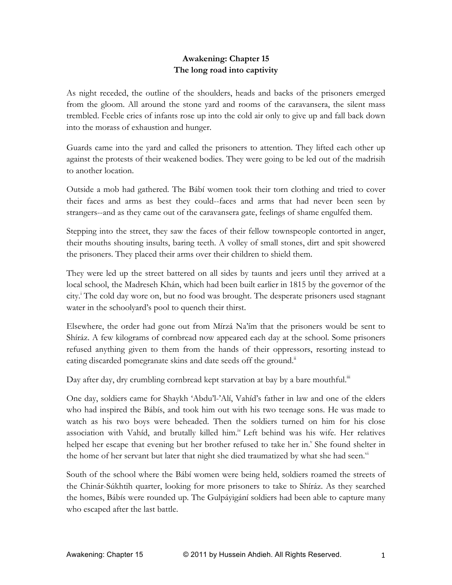## **Awakening: Chapter 15 The long road into captivity**

As night receded, the outline of the shoulders, heads and backs of the prisoners emerged from the gloom. All around the stone yard and rooms of the caravansera, the silent mass trembled. Feeble cries of infants rose up into the cold air only to give up and fall back down into the morass of exhaustion and hunger.

Guards came into the yard and called the prisoners to attention. They lifted each other up against the protests of their weakened bodies. They were going to be led out of the madrisih to another location.

Outside a mob had gathered. The Bábí women took their torn clothing and tried to cover their faces and arms as best they could--faces and arms that had never been seen by strangers--and as they came out of the caravansera gate, feelings of shame engulfed them.

Stepping into the street, they saw the faces of their fellow townspeople contorted in anger, their mouths shouting insults, baring teeth. A volley of small stones, dirt and spit showered the prisoners. They placed their arms over their children to shield them.

They were led up the street battered on all sides by taunts and jeers until they arrived at a local school, the Madreseh Khán, which had been built earlier in 1815 by the governor of the city.<sup>i</sup> The cold day wore on, but no food was brought. The desperate prisoners used stagnant water in the schoolyard's pool to quench their thirst.

Elsewhere, the order had gone out from Mírzá Na'ím that the prisoners would be sent to Shíráz. A few kilograms of cornbread now appeared each day at the school. Some prisoners refused anything given to them from the hands of their oppressors, resorting instead to eating discarded pomegranate skins and date seeds off the ground.<sup>11</sup>

Day after day, dry crumbling cornbread kept starvation at bay by a bare mouthful.<sup>iii</sup>

One day, soldiers came for Shaykh 'Abdu'l-'Alí, Vahíd's father in law and one of the elders who had inspired the Bábís, and took him out with his two teenage sons. He was made to watch as his two boys were beheaded. Then the soldiers turned on him for his close association with Vahíd, and brutally killed him.<sup>iv</sup> Left behind was his wife. Her relatives helped her escape that evening but her brother refused to take her in.<sup>v</sup> She found shelter in the home of her servant but later that night she died traumatized by what she had seen."

South of the school where the Bábí women were being held, soldiers roamed the streets of the Chinár-Súkhtih quarter, looking for more prisoners to take to Shíráz. As they searched the homes, Bábís were rounded up. The Gulpáyigání soldiers had been able to capture many who escaped after the last battle.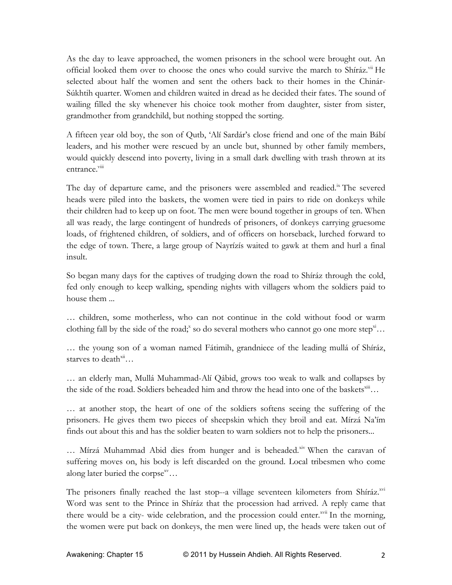As the day to leave approached, the women prisoners in the school were brought out. An official looked them over to choose the ones who could survive the march to Shíráz.<sup>vii</sup> He selected about half the women and sent the others back to their homes in the Chinár-Súkhtih quarter. Women and children waited in dread as he decided their fates. The sound of wailing filled the sky whenever his choice took mother from daughter, sister from sister, grandmother from grandchild, but nothing stopped the sorting.

A fifteen year old boy, the son of Qutb, 'Alí Sardár's close friend and one of the main Bábí leaders, and his mother were rescued by an uncle but, shunned by other family members, would quickly descend into poverty, living in a small dark dwelling with trash thrown at its entrance.<sup>viii</sup>

The day of departure came, and the prisoners were assembled and readied.<sup>ix</sup> The severed heads were piled into the baskets, the women were tied in pairs to ride on donkeys while their children had to keep up on foot. The men were bound together in groups of ten. When all was ready, the large contingent of hundreds of prisoners, of donkeys carrying gruesome loads, of frightened children, of soldiers, and of officers on horseback, lurched forward to the edge of town. There, a large group of Nayrízís waited to gawk at them and hurl a final insult.

So began many days for the captives of trudging down the road to Shíráz through the cold, fed only enough to keep walking, spending nights with villagers whom the soldiers paid to house them ...

… children, some motherless, who can not continue in the cold without food or warm clothing fall by the side of the road;<sup>x</sup> so do several mothers who cannot go one more step<sup>xi</sup>...

… the young son of a woman named Fátimih, grandniece of the leading mullá of Shíráz, starves to death<sup>xii</sup>

… an elderly man, Mullá Muhammad-Alí Qábid, grows too weak to walk and collapses by the side of the road. Soldiers beheaded him and throw the head into one of the baskets<sup>xiii</sup>...

… at another stop, the heart of one of the soldiers softens seeing the suffering of the prisoners. He gives them two pieces of sheepskin which they broil and eat. Mírzá Na'ím finds out about this and has the soldier beaten to warn soldiers not to help the prisoners...

 $\ldots$  Mírzá Muhammad Abid dies from hunger and is beheaded.<sup>xiv</sup> When the caravan of suffering moves on, his body is left discarded on the ground. Local tribesmen who come along later buried the corpse<sup>xv</sup>...

The prisoners finally reached the last stop--a village seventeen kilometers from Shíráz.<sup>xvi</sup> Word was sent to the Prince in Shíráz that the procession had arrived. A reply came that there would be a city- wide celebration, and the procession could enter. $x^{x^i}$  In the morning, the women were put back on donkeys, the men were lined up, the heads were taken out of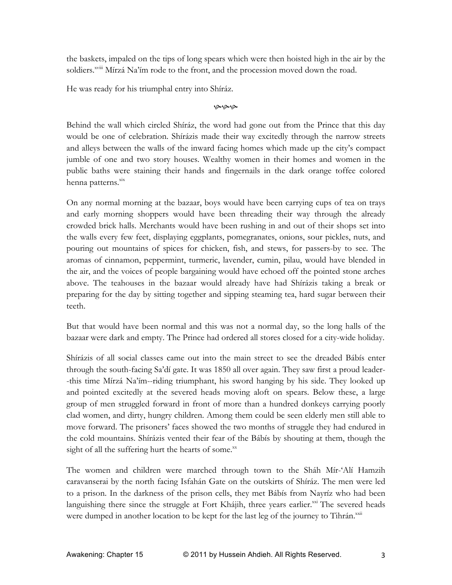the baskets, impaled on the tips of long spears which were then hoisted high in the air by the soldiers.<sup>xviii</sup> Mírzá Na'ím rode to the front, and the procession moved down the road.

He was ready for his triumphal entry into Shíráz.

مومومو

Behind the wall which circled Shíráz, the word had gone out from the Prince that this day would be one of celebration. Shírázis made their way excitedly through the narrow streets and alleys between the walls of the inward facing homes which made up the city's compact jumble of one and two story houses. Wealthy women in their homes and women in the public baths were staining their hands and fingernails in the dark orange toffee colored henna patterns.<sup>xix</sup>

On any normal morning at the bazaar, boys would have been carrying cups of tea on trays and early morning shoppers would have been threading their way through the already crowded brick halls. Merchants would have been rushing in and out of their shops set into the walls every few feet, displaying eggplants, pomegranates, onions, sour pickles, nuts, and pouring out mountains of spices for chicken, fish, and stews, for passers-by to see. The aromas of cinnamon, peppermint, turmeric, lavender, cumin, pilau, would have blended in the air, and the voices of people bargaining would have echoed off the pointed stone arches above. The teahouses in the bazaar would already have had Shírázis taking a break or preparing for the day by sitting together and sipping steaming tea, hard sugar between their teeth.

But that would have been normal and this was not a normal day, so the long halls of the bazaar were dark and empty. The Prince had ordered all stores closed for a city-wide holiday.

Shírázis of all social classes came out into the main street to see the dreaded Bábís enter through the south-facing Sa'dí gate. It was 1850 all over again. They saw first a proud leader- -this time Mírzá Na'ím--riding triumphant, his sword hanging by his side. They looked up and pointed excitedly at the severed heads moving aloft on spears. Below these, a large group of men struggled forward in front of more than a hundred donkeys carrying poorly clad women, and dirty, hungry children. Among them could be seen elderly men still able to move forward. The prisoners' faces showed the two months of struggle they had endured in the cold mountains. Shírázis vented their fear of the Bábís by shouting at them, though the sight of all the suffering hurt the hearts of some. $^{xx}$ 

The women and children were marched through town to the Sháh Mír-'Alí Hamzih caravanserai by the north facing Isfahán Gate on the outskirts of Shíráz. The men were led to a prison. In the darkness of the prison cells, they met Bábís from Nayríz who had been languishing there since the struggle at Fort Khájih, three years earlier.<sup>xxi</sup> The severed heads were dumped in another location to be kept for the last leg of the journey to Tihrán.<sup>xxii</sup>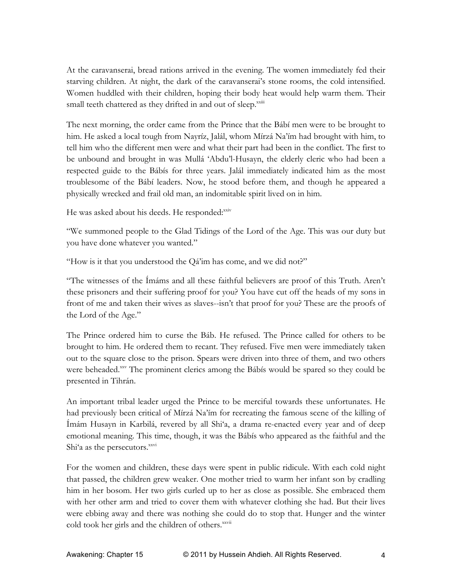At the caravanserai, bread rations arrived in the evening. The women immediately fed their starving children. At night, the dark of the caravanserai's stone rooms, the cold intensified. Women huddled with their children, hoping their body heat would help warm them. Their small teeth chattered as they drifted in and out of sleep.<sup>xxiii</sup>

The next morning, the order came from the Prince that the Bábí men were to be brought to him. He asked a local tough from Nayríz, Jalál, whom Mírzá Na'ím had brought with him, to tell him who the different men were and what their part had been in the conflict. The first to be unbound and brought in was Mullá 'Abdu'l-Husayn, the elderly cleric who had been a respected guide to the Bábís for three years. Jalál immediately indicated him as the most troublesome of the Bábí leaders. Now, he stood before them, and though he appeared a physically wrecked and frail old man, an indomitable spirit lived on in him.

He was asked about his deeds. He responded:  $x_{xy}$ 

"We summoned people to the Glad Tidings of the Lord of the Age. This was our duty but you have done whatever you wanted."

"How is it that you understood the Qá'im has come, and we did not?"

"The witnesses of the Ímáms and all these faithful believers are proof of this Truth. Aren't these prisoners and their suffering proof for you? You have cut off the heads of my sons in front of me and taken their wives as slaves--isn't that proof for you? These are the proofs of the Lord of the Age."

The Prince ordered him to curse the Báb. He refused. The Prince called for others to be brought to him. He ordered them to recant. They refused. Five men were immediately taken out to the square close to the prison. Spears were driven into three of them, and two others were beheaded.<sup>xxv</sup> The prominent clerics among the Bábís would be spared so they could be presented in Tihrán.

An important tribal leader urged the Prince to be merciful towards these unfortunates. He had previously been critical of Mírzá Na'ím for recreating the famous scene of the killing of Ímám Husayn in Karbilá, revered by all Shi'a, a drama re-enacted every year and of deep emotional meaning. This time, though, it was the Bábís who appeared as the faithful and the Shi'a as the persecutors.<sup>xxvi</sup>

For the women and children, these days were spent in public ridicule. With each cold night that passed, the children grew weaker. One mother tried to warm her infant son by cradling him in her bosom. Her two girls curled up to her as close as possible. She embraced them with her other arm and tried to cover them with whatever clothing she had. But their lives were ebbing away and there was nothing she could do to stop that. Hunger and the winter cold took her girls and the children of others.<sup>xxvii</sup>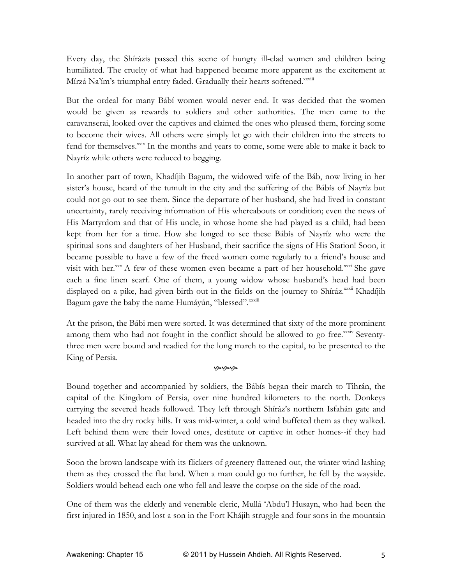Every day, the Shírázis passed this scene of hungry ill-clad women and children being humiliated. The cruelty of what had happened became more apparent as the excitement at Mírzá Na'ím's triumphal entry faded. Gradually their hearts softened.xxviii

But the ordeal for many Bábí women would never end. It was decided that the women would be given as rewards to soldiers and other authorities. The men came to the caravanserai, looked over the captives and claimed the ones who pleased them, forcing some to become their wives. All others were simply let go with their children into the streets to fend for themselves.<sup>xxix</sup> In the months and years to come, some were able to make it back to Nayríz while others were reduced to begging.

In another part of town, Khadíjih Bagum**,** the widowed wife of the Báb, now living in her sister's house, heard of the tumult in the city and the suffering of the Bábís of Nayríz but could not go out to see them. Since the departure of her husband, she had lived in constant uncertainty, rarely receiving information of His whereabouts or condition; even the news of His Martyrdom and that of His uncle, in whose home she had played as a child, had been kept from her for a time. How she longed to see these Bábís of Nayríz who were the spiritual sons and daughters of her Husband, their sacrifice the signs of His Station! Soon, it became possible to have a few of the freed women come regularly to a friend's house and visit with her. $x = A$  few of these women even became a part of her household. $x = B$  she gave each a fine linen scarf. One of them, a young widow whose husband's head had been displayed on a pike, had given birth out in the fields on the journey to Shíráz.<sup>xxxii</sup> Khadíjih Bagum gave the baby the name Humáyún, "blessed".<sup>xxxiii</sup>

At the prison, the Bábi men were sorted. It was determined that sixty of the more prominent among them who had not fought in the conflict should be allowed to go free.<sup>xxxiv</sup> Seventythree men were bound and readied for the long march to the capital, to be presented to the King of Persia.

## محممه

Bound together and accompanied by soldiers, the Bábís began their march to Tihrán, the capital of the Kingdom of Persia, over nine hundred kilometers to the north. Donkeys carrying the severed heads followed. They left through Shíráz's northern Isfahán gate and headed into the dry rocky hills. It was mid-winter, a cold wind buffeted them as they walked. Left behind them were their loved ones, destitute or captive in other homes--if they had survived at all. What lay ahead for them was the unknown.

Soon the brown landscape with its flickers of greenery flattened out, the winter wind lashing them as they crossed the flat land. When a man could go no further, he fell by the wayside. Soldiers would behead each one who fell and leave the corpse on the side of the road.

One of them was the elderly and venerable cleric, Mullá 'Abdu'l Husayn, who had been the first injured in 1850, and lost a son in the Fort Khájih struggle and four sons in the mountain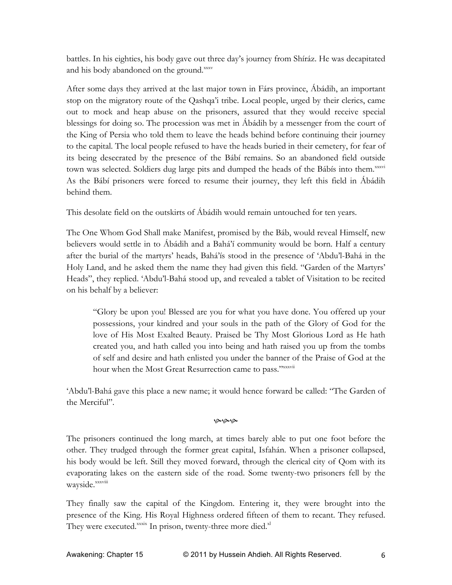battles. In his eighties, his body gave out three day's journey from Shíráz. He was decapitated and his body abandoned on the ground.<sup>xxxv</sup>

After some days they arrived at the last major town in Fárs province, Ábádih, an important stop on the migratory route of the Qashqa'i tribe. Local people, urged by their clerics, came out to mock and heap abuse on the prisoners, assured that they would receive special blessings for doing so. The procession was met in Ábádih by a messenger from the court of the King of Persia who told them to leave the heads behind before continuing their journey to the capital. The local people refused to have the heads buried in their cemetery, for fear of its being desecrated by the presence of the Bábí remains. So an abandoned field outside town was selected. Soldiers dug large pits and dumped the heads of the Bábís into them.xxxvi As the Bábí prisoners were forced to resume their journey, they left this field in Ábádih behind them.

This desolate field on the outskirts of Ábádih would remain untouched for ten years.

The One Whom God Shall make Manifest, promised by the Báb, would reveal Himself, new believers would settle in to Ábádih and a Bahá'í community would be born. Half a century after the burial of the martyrs' heads, Bahá'ís stood in the presence of 'Abdu'l-Bahá in the Holy Land, and he asked them the name they had given this field. "Garden of the Martyrs' Heads", they replied. 'Abdu'l-Bahá stood up, and revealed a tablet of Visitation to be recited on his behalf by a believer:

"Glory be upon you! Blessed are you for what you have done. You offered up your possessions, your kindred and your souls in the path of the Glory of God for the love of His Most Exalted Beauty. Praised be Thy Most Glorious Lord as He hath created you, and hath called you into being and hath raised you up from the tombs of self and desire and hath enlisted you under the banner of the Praise of God at the hour when the Most Great Resurrection came to pass."xxxvii

'Abdu'l-Bahá gave this place a new name; it would hence forward be called: "The Garden of the Merciful".

## مومومو

The prisoners continued the long march, at times barely able to put one foot before the other. They trudged through the former great capital, Isfahán. When a prisoner collapsed, his body would be left. Still they moved forward, through the clerical city of Qom with its evaporating lakes on the eastern side of the road. Some twenty-two prisoners fell by the wayside.<sup>xxxviii</sup>

They finally saw the capital of the Kingdom. Entering it, they were brought into the presence of the King. His Royal Highness ordered fifteen of them to recant. They refused. They were executed.<sup>xxxix</sup> In prison, twenty-three more died.<sup>xl</sup>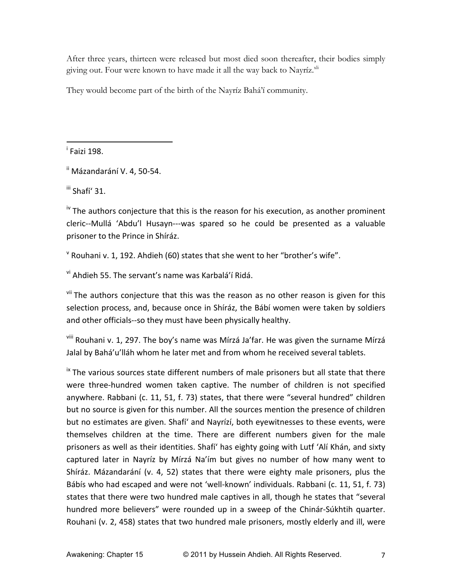After three years, thirteen were released but most died soon thereafter, their bodies simply giving out. Four were known to have made it all the way back to Nayríz.<sup>xli</sup>

They would become part of the birth of the Nayríz Bahá'í community.

 $\overline{ }$  Faizi 198.

 $\mathrm{ii}$  Mázandarání V. 4, 50-54.

""""""""""""""""""""""""""""""""""""""""""""""""""""""""""""

 $\mathrm{^{\mathrm{iii}}}$  Shafí' 31.

 $\mu$ <sup>iv</sup> The authors conjecture that this is the reason for his execution, as another prominent cleric--Mullá 'Abdu'l Husayn---was spared so he could be presented as a valuable prisoner to the Prince in Shíráz.

<sup>v</sup> Rouhani v. 1, 192. Ahdieh (60) states that she went to her "brother's wife".

<sup>vi</sup> Ahdieh 55. The servant's name was Karbalá'í Ridá.

 $\frac{v_{\text{ii}}}{v_{\text{ii}}}$  The authors conjecture that this was the reason as no other reason is given for this selection process, and, because once in Shíráz, the Bábí women were taken by soldiers and other officials--so they must have been physically healthy.

viii Rouhani v. 1, 297. The boy's name was Mírzá Ja'far. He was given the surname Mírzá Jalal by Bahá'u'lláh whom he later met and from whom he received several tablets.

 $\frac{1}{x}$  The various sources state different numbers of male prisoners but all state that there were three-hundred women taken captive. The number of children is not specified anywhere. Rabbani (c. 11, 51, f. 73) states, that there were "several hundred" children but no source is given for this number. All the sources mention the presence of children but no estimates are given. Shafí' and Nayrízí, both eyewitnesses to these events, were themselves children at the time. There are different numbers given for the male prisoners as well as their identities. Shafí' has eighty going with Lutf 'Alí Khán, and sixty captured later in Nayríz by Mírzá Na'ím but gives no number of how many went to Shíráz. Mázandarání (v. 4, 52) states that there were eighty male prisoners, plus the Bábís who had escaped and were not 'well-known' individuals. Rabbani (c. 11, 51, f. 73) states that there were two hundred male captives in all, though he states that "several" hundred more believers" were rounded up in a sweep of the Chinár-Súkhtih quarter. Rouhani (v. 2, 458) states that two hundred male prisoners, mostly elderly and ill, were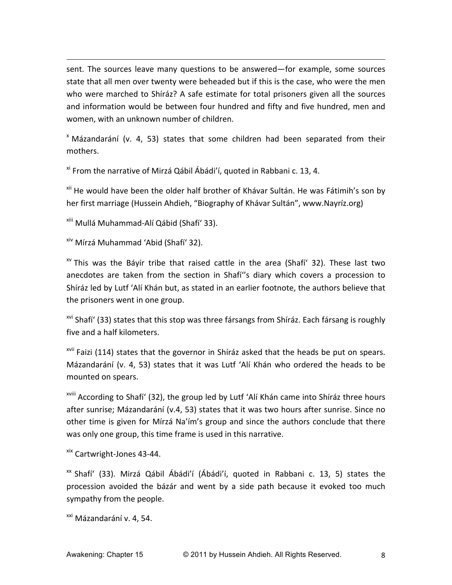sent. The sources leave many questions to be answered—for example, some sources state that all men over twenty were beheaded but if this is the case, who were the men who were marched to Shíráz? A safe estimate for total prisoners given all the sources and information would be between four hundred and fifty and five hundred, men and women, with an unknown number of children.

""""""""""""""""""""""""""""""""""""""""""""""""""""""""""""""""""""""""""""""""""""""""""""""""""""""""""""""""""""""""""""""""""""""""""""""""""""""""""""""""""""""""""""""""""""

 $x$  Mázandarání (v. 4, 53) states that some children had been separated from their mothers.

 $x$ <sup>i</sup> From the narrative of Mirzá Qábil Ábádi'í, quoted in Rabbani c. 13, 4.

<sup>xii</sup> He would have been the older half brother of Khávar Sultán. He was Fátimih's son by her first marriage (Hussein Ahdieh, "Biography of Khávar Sultán", www.Nayríz.org)

xiii Mullá Muhammad-Alí Qábid (Shafí' 33).

<sup>xiv</sup> Mírzá Muhammad 'Abid (Shafí' 32).

 $\alpha$ <sup>w</sup> This was the Báyír tribe that raised cattle in the area (Shafí' 32). These last two anecdotes are taken from the section in Shafí"s diary which covers a procession to Shíráz led by Lutf 'Alí Khán but, as stated in an earlier footnote, the authors believe that the prisoners went in one group.

 $\frac{x}{y}$  Shafí' (33) states that this stop was three fársangs from Shíráz. Each fársang is roughly five and a half kilometers.

 $x<sup>iii</sup>$  Faizi (114) states that the governor in Shíráz asked that the heads be put on spears. Mázandarání (v. 4, 53) states that it was Lutf 'Alí Khán who ordered the heads to be mounted on spears.

<sup>xviii</sup> According to Shafí' (32), the group led by Lutf 'Alí Khán came into Shíráz three hours after sunrise; Mázandarání (v.4, 53) states that it was two hours after sunrise. Since no other time is given for Mírzá Na'ím's group and since the authors conclude that there was only one group, this time frame is used in this narrative.

<sup>xix</sup> Cartwright-Jones 43-44.

<sup>xx</sup> Shafí' (33). Mirzá Qábil Ábádi'í (Ábádi'í, quoted in Rabbani c. 13, 5) states the procession avoided the bázár and went by a side path because it evoked too much sympathy from the people.

<sup>xxi</sup> Mázandarání v. 4, 54.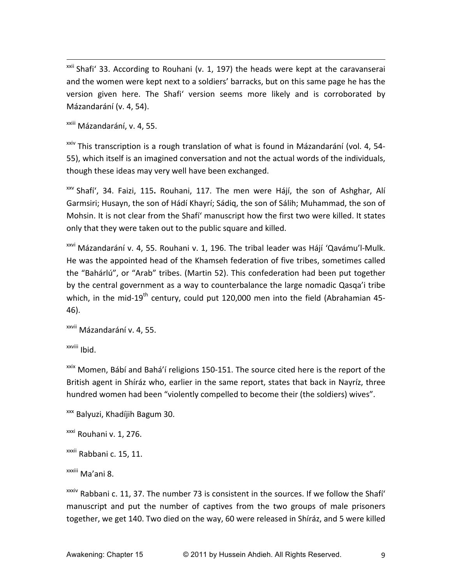$\frac{x}{x}$  Shafi' 33. According to Rouhani (v. 1, 197) the heads were kept at the caravanserai and the women were kept next to a soldiers' barracks, but on this same page he has the version given here. The Shafi' version seems more likely and is corroborated by Mázandarání (v. 4, 54).

""""""""""""""""""""""""""""""""""""""""""""""""""""""""""""""""""""""""""""""""""""""""""""""""""""""""""""""""""""""""""""""""""""""""""""""""""""""""""""""""""""""""""""""""""""

xxiii Mázandarání, v. 4, 55.

<sup>xxiv</sup> This transcription is a rough translation of what is found in Mázandarání (vol. 4, 54-55), which itself is an imagined conversation and not the actual words of the individuals, though these ideas may very well have been exchanged.

<sup>xxv</sup> Shafí', 34. Faizi, 115. Rouhani, 117. The men were Hájí, the son of Ashghar, Alí Garmsiri; Husayn, the son of Hádí Khayrí; Sádiq, the son of Sálih; Muhammad, the son of Mohsin. It is not clear from the Shafí' manuscript how the first two were killed. It states only that they were taken out to the public square and killed.

<sup>xxvi</sup> Mázandarání v. 4, 55. Rouhani v. 1, 196. The tribal leader was Hájí 'Qavámu'l-Mulk. He was the appointed head of the Khamseh federation of five tribes, sometimes called the "Bahárlú", or "Arab" tribes. (Martin 52). This confederation had been put together by the central government as a way to counterbalance the large nomadic Qasqa'i tribe which, in the mid-19<sup>th</sup> century, could put 120,000 men into the field (Abrahamian 45-46).

xxvii Mázandarání v. 4, 55.

xxviii Ibid.

 $x$ <sup>xxix</sup> Momen, Bábí and Bahá'í religions 150-151. The source cited here is the report of the British agent in Shíráz who, earlier in the same report, states that back in Nayríz, three hundred women had been "violently compelled to become their (the soldiers) wives".

<sup>xxx</sup> Balyuzi, Khadíjih Bagum 30.

<sup>xxxi</sup> Rouhani v. 1, 276.

<sup>xxxii</sup> Rabbani c. 15, 11.

xxiii Ma'ani 8.

 $x$ <sup>xxxiv</sup> Rabbani c. 11, 37. The number 73 is consistent in the sources. If we follow the Shafí' manuscript and put the number of captives from the two groups of male prisoners together, we get 140. Two died on the way, 60 were released in Shíráz, and 5 were killed